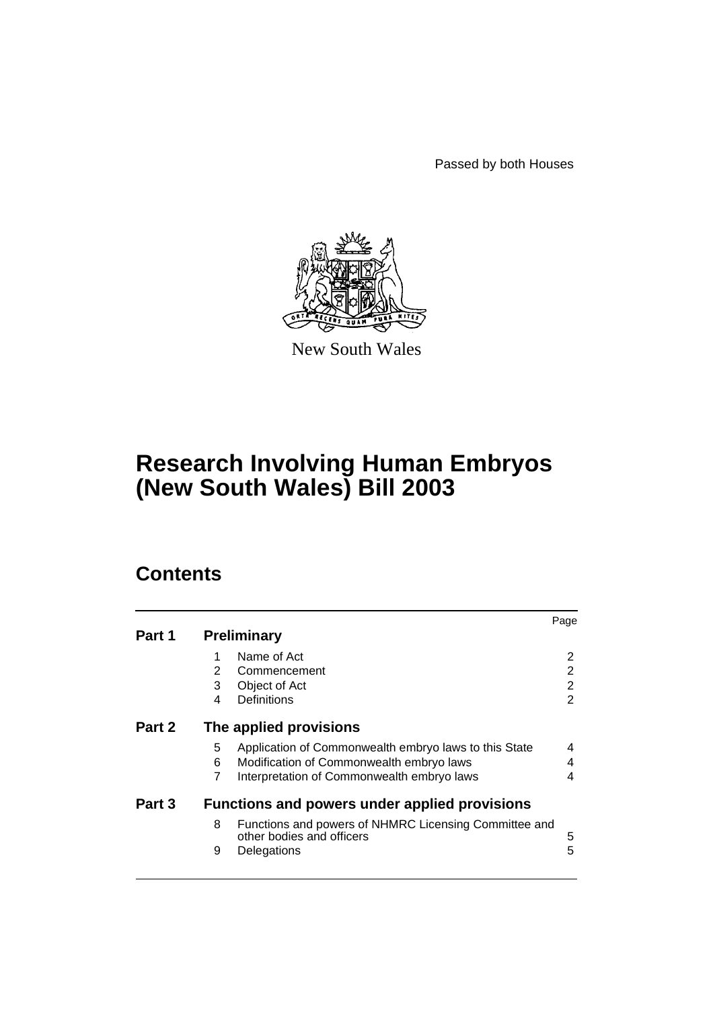Passed by both Houses



New South Wales

# **Research Involving Human Embryos (New South Wales) Bill 2003**

# **Contents**

|        |                                                      |                                                                                    | Page |  |
|--------|------------------------------------------------------|------------------------------------------------------------------------------------|------|--|
| Part 1 |                                                      | <b>Preliminary</b>                                                                 |      |  |
|        |                                                      | Name of Act                                                                        | 2    |  |
|        | 2                                                    | Commencement                                                                       | 2    |  |
|        | 3                                                    | Object of Act                                                                      | 2    |  |
|        | 4                                                    | Definitions                                                                        | 2    |  |
| Part 2 | The applied provisions                               |                                                                                    |      |  |
|        | 5                                                    | Application of Commonwealth embryo laws to this State                              | 4    |  |
|        | 6                                                    | Modification of Commonwealth embryo laws                                           | 4    |  |
|        | 7                                                    | Interpretation of Commonwealth embryo laws                                         | 4    |  |
| Part 3 | <b>Functions and powers under applied provisions</b> |                                                                                    |      |  |
|        | 8                                                    | Functions and powers of NHMRC Licensing Committee and<br>other bodies and officers | 5    |  |
|        | 9                                                    | Delegations                                                                        | 5    |  |
|        |                                                      |                                                                                    |      |  |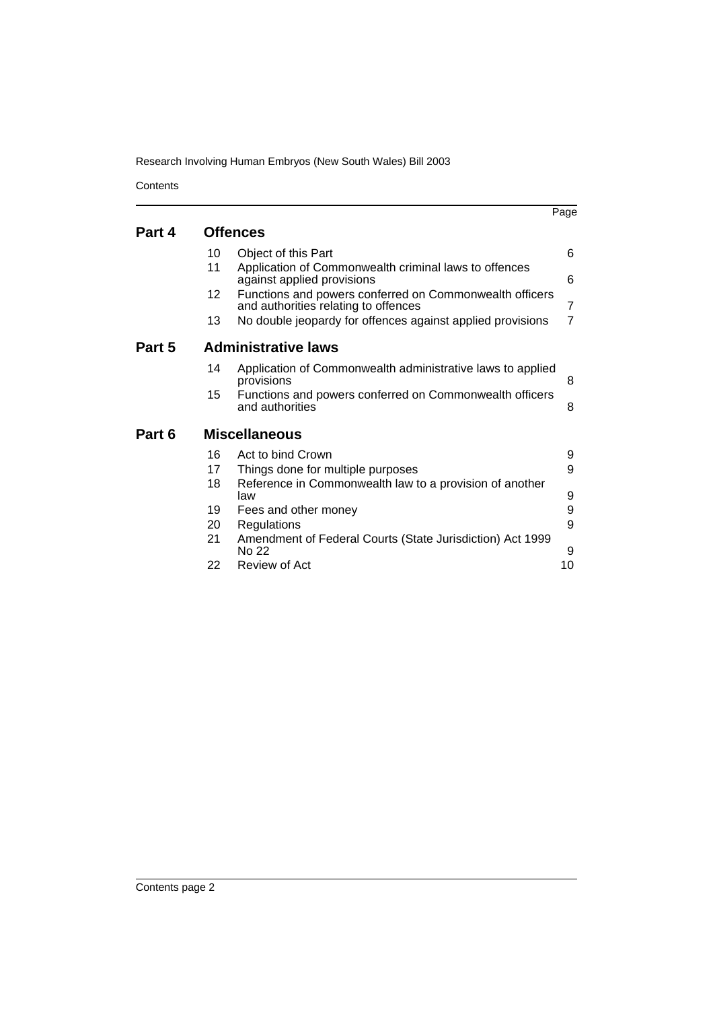Research Involving Human Embryos (New South Wales) Bill 2003

**Contents** 

|        |                            |                                                                                                 | Page           |  |  |
|--------|----------------------------|-------------------------------------------------------------------------------------------------|----------------|--|--|
| Part 4 |                            | <b>Offences</b>                                                                                 |                |  |  |
|        |                            |                                                                                                 |                |  |  |
|        | 10                         | Object of this Part                                                                             | 6              |  |  |
|        | 11                         | Application of Commonwealth criminal laws to offences<br>against applied provisions             | 6              |  |  |
|        | 12                         | Functions and powers conferred on Commonwealth officers<br>and authorities relating to offences | 7              |  |  |
|        | 13                         | No double jeopardy for offences against applied provisions                                      | $\overline{7}$ |  |  |
| Part 5 | <b>Administrative laws</b> |                                                                                                 |                |  |  |
|        | 14                         | Application of Commonwealth administrative laws to applied<br>provisions                        | 8              |  |  |
|        | 15                         | Functions and powers conferred on Commonwealth officers<br>and authorities                      | 8              |  |  |
| Part 6 | <b>Miscellaneous</b>       |                                                                                                 |                |  |  |
|        | 16                         | Act to bind Crown                                                                               | 9              |  |  |
|        | 17                         | Things done for multiple purposes                                                               | 9              |  |  |
|        | 18                         | Reference in Commonwealth law to a provision of another<br>law                                  | 9              |  |  |
|        | 19                         | Fees and other money                                                                            | 9              |  |  |
|        | 20                         | Regulations                                                                                     | 9              |  |  |
|        | 21                         | Amendment of Federal Courts (State Jurisdiction) Act 1999<br>No 22                              | 9              |  |  |
|        | 22                         | Review of Act                                                                                   | 10             |  |  |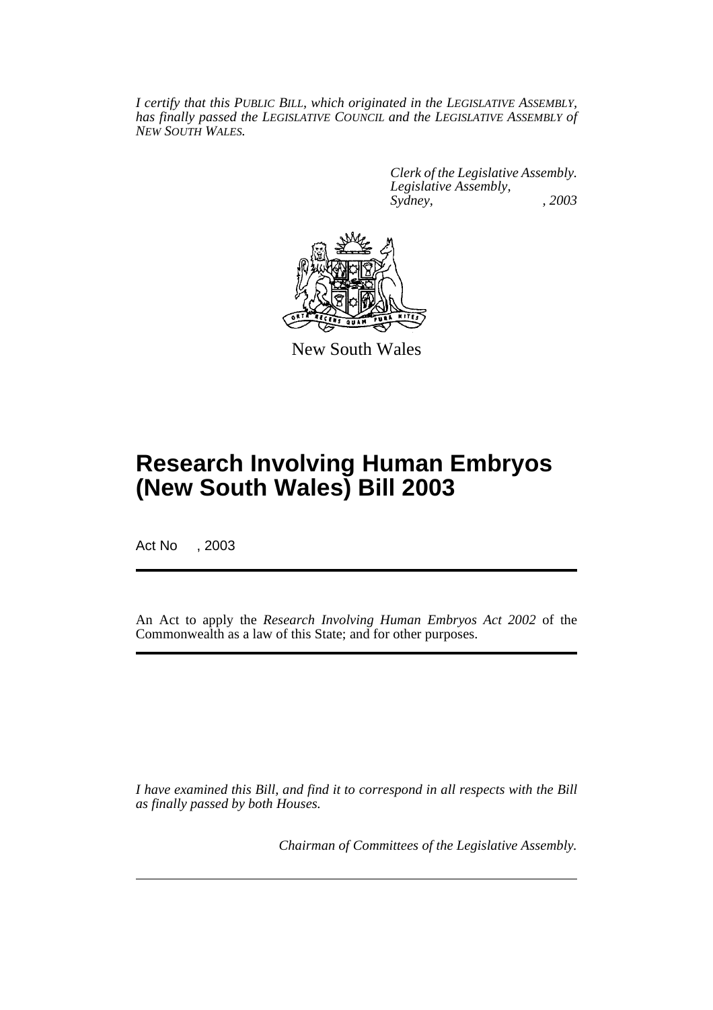*I certify that this PUBLIC BILL, which originated in the LEGISLATIVE ASSEMBLY, has finally passed the LEGISLATIVE COUNCIL and the LEGISLATIVE ASSEMBLY of NEW SOUTH WALES.*

> *Clerk of the Legislative Assembly. Legislative Assembly, Sydney, , 2003*



New South Wales

# **Research Involving Human Embryos (New South Wales) Bill 2003**

Act No , 2003

An Act to apply the *Research Involving Human Embryos Act 2002* of the Commonwealth as a law of this State; and for other purposes.

*I have examined this Bill, and find it to correspond in all respects with the Bill as finally passed by both Houses.*

*Chairman of Committees of the Legislative Assembly.*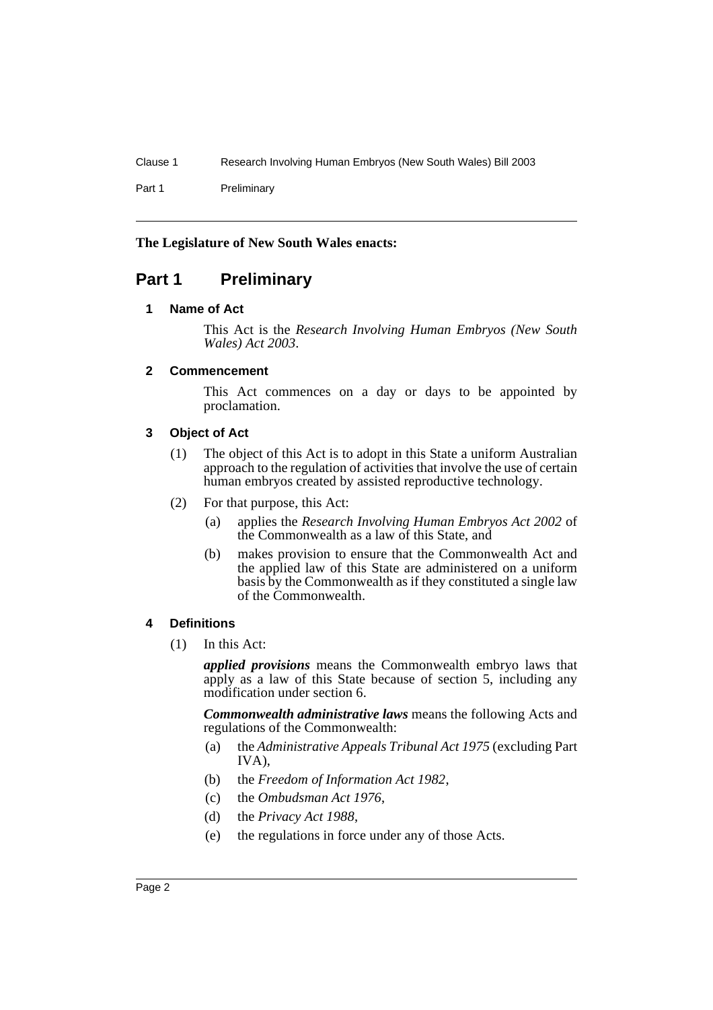Clause 1 Research Involving Human Embryos (New South Wales) Bill 2003

Part 1 Preliminary

## **The Legislature of New South Wales enacts:**

# <span id="page-3-1"></span><span id="page-3-0"></span>**Part 1 Preliminary**

## **1 Name of Act**

This Act is the *Research Involving Human Embryos (New South Wales) Act 2003*.

## <span id="page-3-2"></span>**2 Commencement**

This Act commences on a day or days to be appointed by proclamation.

## <span id="page-3-3"></span>**3 Object of Act**

- (1) The object of this Act is to adopt in this State a uniform Australian approach to the regulation of activities that involve the use of certain human embryos created by assisted reproductive technology.
- (2) For that purpose, this Act:
	- (a) applies the *Research Involving Human Embryos Act 2002* of the Commonwealth as a law of this State, and
	- (b) makes provision to ensure that the Commonwealth Act and the applied law of this State are administered on a uniform basis by the Commonwealth as if they constituted a single law of the Commonwealth.

## <span id="page-3-4"></span>**4 Definitions**

(1) In this Act:

*applied provisions* means the Commonwealth embryo laws that apply as a law of this State because of section 5, including any modification under section 6.

*Commonwealth administrative laws* means the following Acts and regulations of the Commonwealth:

- (a) the *Administrative Appeals Tribunal Act 1975* (excluding Part IVA),
- (b) the *Freedom of Information Act 1982*,
- (c) the *Ombudsman Act 1976*,
- (d) the *Privacy Act 1988*,
- (e) the regulations in force under any of those Acts.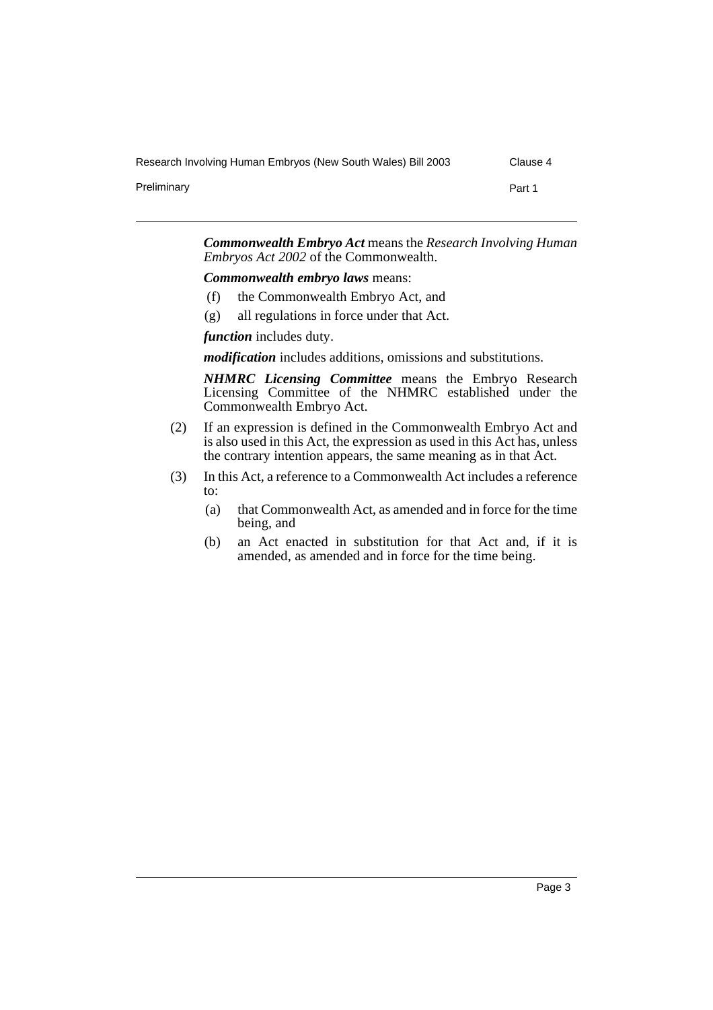Research Involving Human Embryos (New South Wales) Bill 2003 Clause 4

Preliminary **Part 1** 

*Commonwealth Embryo Act* means the *Research Involving Human Embryos Act 2002* of the Commonwealth.

*Commonwealth embryo laws* means:

- (f) the Commonwealth Embryo Act, and
- (g) all regulations in force under that Act.

*function* includes duty.

*modification* includes additions, omissions and substitutions.

*NHMRC Licensing Committee* means the Embryo Research Licensing Committee of the NHMRC established under the Commonwealth Embryo Act.

- (2) If an expression is defined in the Commonwealth Embryo Act and is also used in this Act, the expression as used in this Act has, unless the contrary intention appears, the same meaning as in that Act.
- (3) In this Act, a reference to a Commonwealth Act includes a reference to:
	- (a) that Commonwealth Act, as amended and in force for the time being, and
	- (b) an Act enacted in substitution for that Act and, if it is amended, as amended and in force for the time being.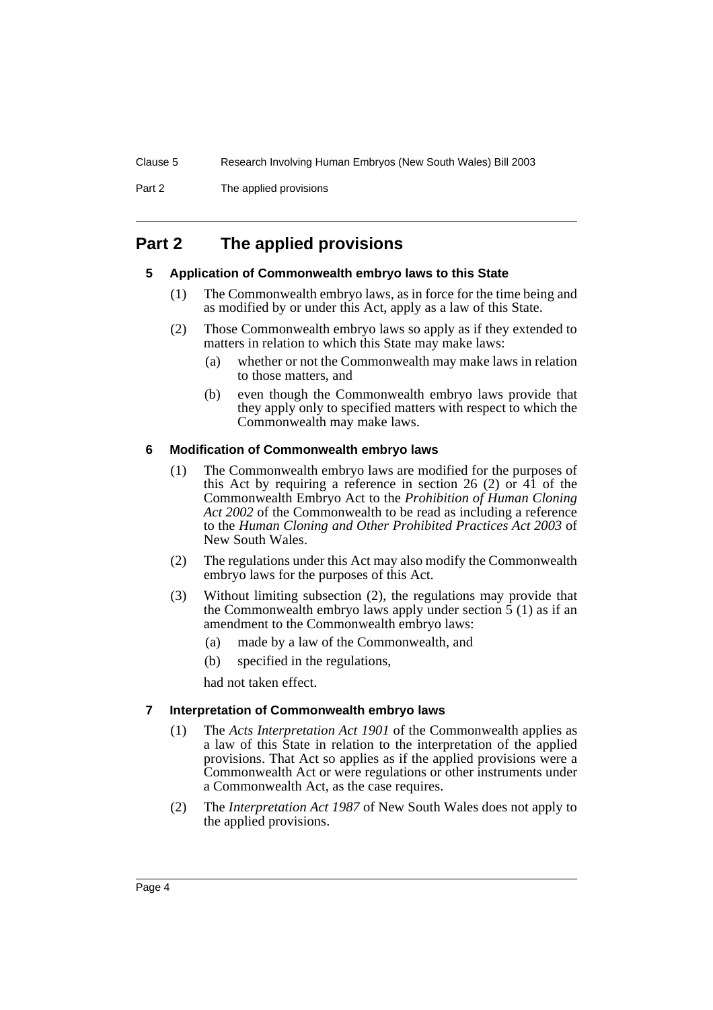Part 2 The applied provisions

# <span id="page-5-1"></span><span id="page-5-0"></span>**Part 2 The applied provisions**

#### **5 Application of Commonwealth embryo laws to this State**

- (1) The Commonwealth embryo laws, as in force for the time being and as modified by or under this Act, apply as a law of this State.
- (2) Those Commonwealth embryo laws so apply as if they extended to matters in relation to which this State may make laws:
	- (a) whether or not the Commonwealth may make laws in relation to those matters, and
	- (b) even though the Commonwealth embryo laws provide that they apply only to specified matters with respect to which the Commonwealth may make laws.

#### <span id="page-5-2"></span>**6 Modification of Commonwealth embryo laws**

- (1) The Commonwealth embryo laws are modified for the purposes of this Act by requiring a reference in section 26 (2) or  $4\overline{1}$  of the Commonwealth Embryo Act to the *Prohibition of Human Cloning Act 2002* of the Commonwealth to be read as including a reference to the *Human Cloning and Other Prohibited Practices Act 2003* of New South Wales.
- (2) The regulations under this Act may also modify the Commonwealth embryo laws for the purposes of this Act.
- (3) Without limiting subsection (2), the regulations may provide that the Commonwealth embryo laws apply under section  $\bar{5}$  (1) as if an amendment to the Commonwealth embryo laws:
	- (a) made by a law of the Commonwealth, and
	- (b) specified in the regulations,

had not taken effect.

#### <span id="page-5-3"></span>**7 Interpretation of Commonwealth embryo laws**

- (1) The *Acts Interpretation Act 1901* of the Commonwealth applies as a law of this State in relation to the interpretation of the applied provisions. That Act so applies as if the applied provisions were a Commonwealth Act or were regulations or other instruments under a Commonwealth Act, as the case requires.
- (2) The *Interpretation Act 1987* of New South Wales does not apply to the applied provisions.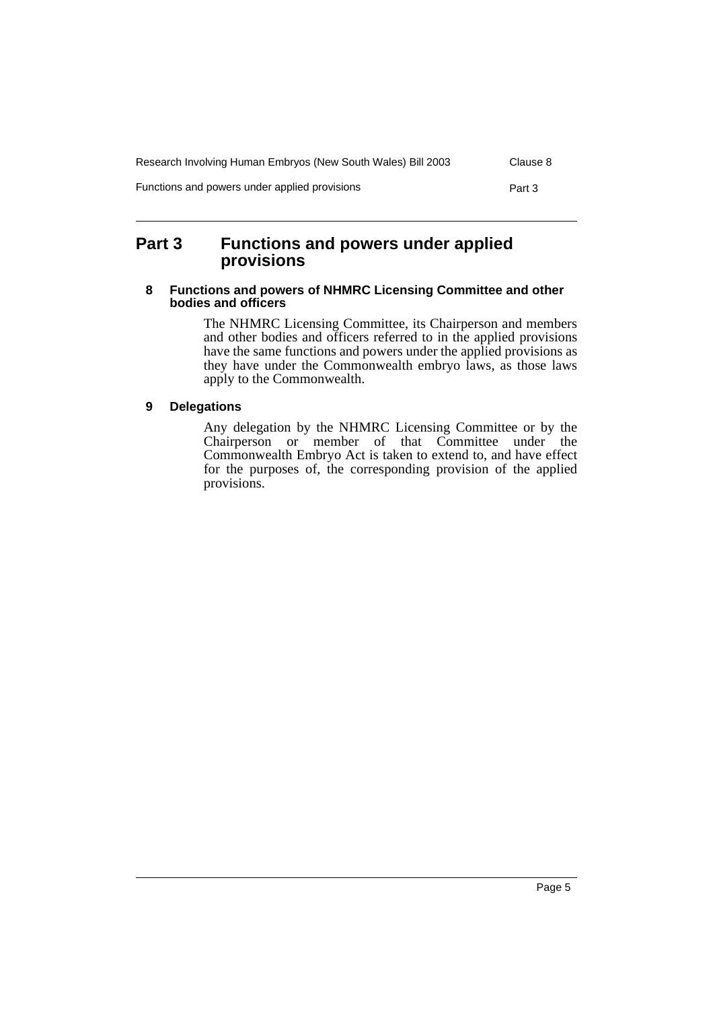| Research Involving Human Embryos (New South Wales) Bill 2003 | Clause 8 |
|--------------------------------------------------------------|----------|
| Functions and powers under applied provisions                | Part 3   |

# <span id="page-6-0"></span>**Part 3 Functions and powers under applied provisions**

#### <span id="page-6-1"></span>**8 Functions and powers of NHMRC Licensing Committee and other bodies and officers**

The NHMRC Licensing Committee, its Chairperson and members and other bodies and officers referred to in the applied provisions have the same functions and powers under the applied provisions as they have under the Commonwealth embryo laws, as those laws apply to the Commonwealth.

## <span id="page-6-2"></span>**9 Delegations**

Any delegation by the NHMRC Licensing Committee or by the Chairperson or member of that Committee under the Commonwealth Embryo Act is taken to extend to, and have effect for the purposes of, the corresponding provision of the applied provisions.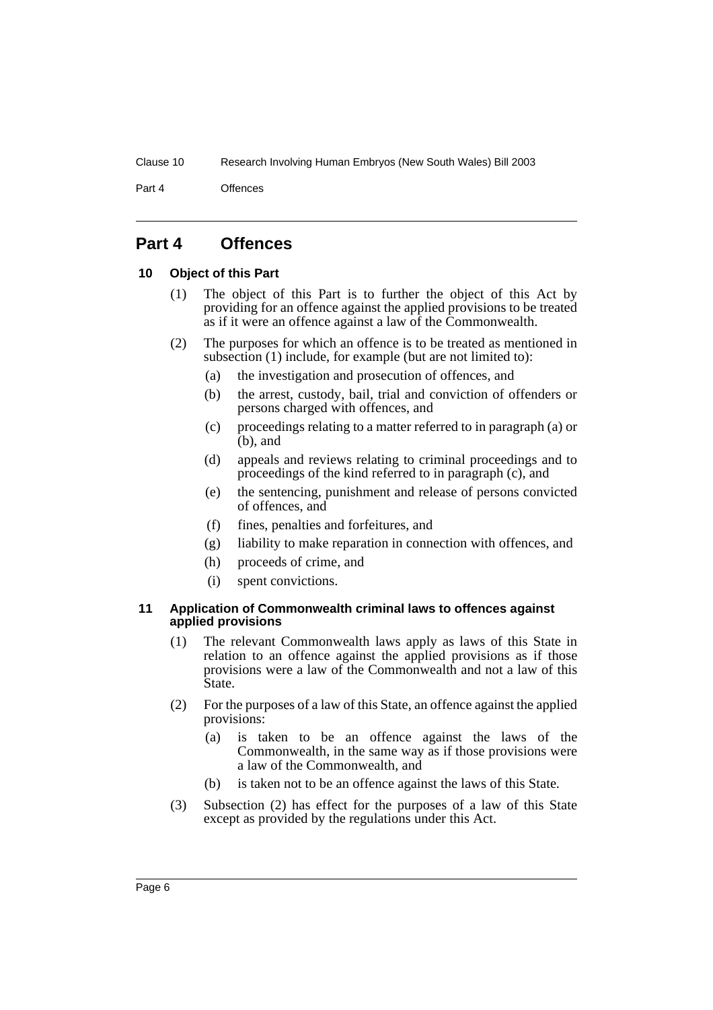#### Clause 10 Research Involving Human Embryos (New South Wales) Bill 2003

Part 4 Offences

# <span id="page-7-0"></span>**Part 4 Offences**

#### <span id="page-7-1"></span>**10 Object of this Part**

- (1) The object of this Part is to further the object of this Act by providing for an offence against the applied provisions to be treated as if it were an offence against a law of the Commonwealth.
- (2) The purposes for which an offence is to be treated as mentioned in subsection (1) include, for example (but are not limited to):
	- (a) the investigation and prosecution of offences, and
	- (b) the arrest, custody, bail, trial and conviction of offenders or persons charged with offences, and
	- (c) proceedings relating to a matter referred to in paragraph (a) or  $(b)$ , and
	- (d) appeals and reviews relating to criminal proceedings and to proceedings of the kind referred to in paragraph (c), and
	- (e) the sentencing, punishment and release of persons convicted of offences, and
	- (f) fines, penalties and forfeitures, and
	- (g) liability to make reparation in connection with offences, and
	- (h) proceeds of crime, and
	- (i) spent convictions.

#### <span id="page-7-2"></span>**11 Application of Commonwealth criminal laws to offences against applied provisions**

- (1) The relevant Commonwealth laws apply as laws of this State in relation to an offence against the applied provisions as if those provisions were a law of the Commonwealth and not a law of this State.
- (2) For the purposes of a law of this State, an offence against the applied provisions:
	- (a) is taken to be an offence against the laws of the Commonwealth, in the same way as if those provisions were a law of the Commonwealth, and
	- (b) is taken not to be an offence against the laws of this State.
- (3) Subsection (2) has effect for the purposes of a law of this State except as provided by the regulations under this Act.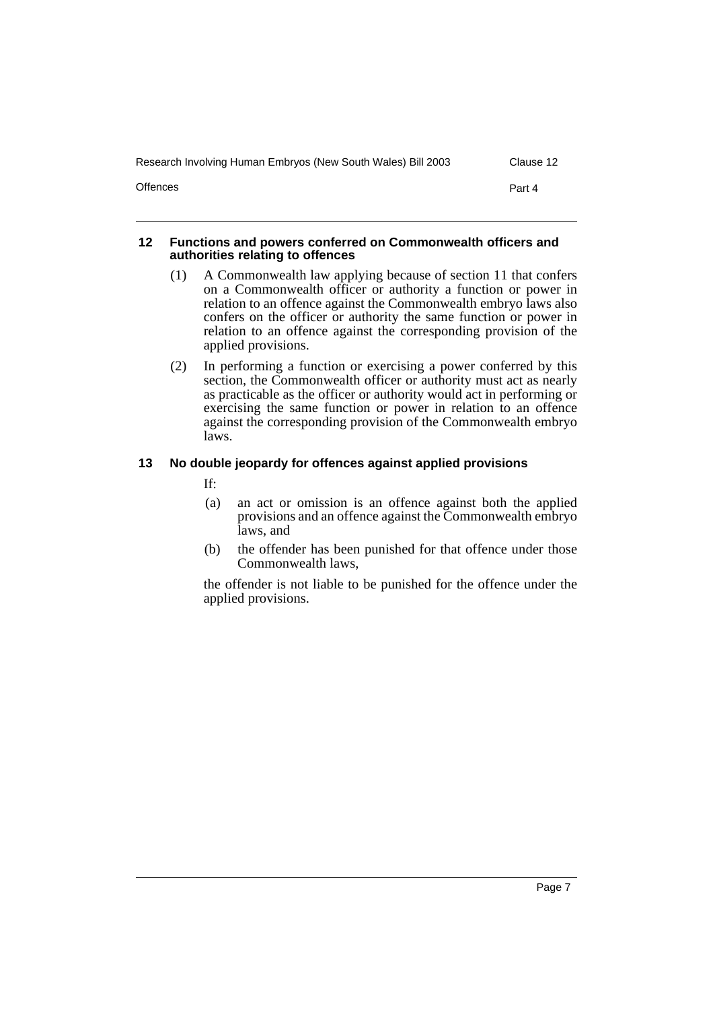| Research Involving Human Embryos (New South Wales) Bill 2003 | Clause 12 |
|--------------------------------------------------------------|-----------|
| <b>Offences</b>                                              | Part 4    |

#### <span id="page-8-0"></span>**12 Functions and powers conferred on Commonwealth officers and authorities relating to offences**

- (1) A Commonwealth law applying because of section 11 that confers on a Commonwealth officer or authority a function or power in relation to an offence against the Commonwealth embryo laws also confers on the officer or authority the same function or power in relation to an offence against the corresponding provision of the applied provisions.
- (2) In performing a function or exercising a power conferred by this section, the Commonwealth officer or authority must act as nearly as practicable as the officer or authority would act in performing or exercising the same function or power in relation to an offence against the corresponding provision of the Commonwealth embryo laws.

## <span id="page-8-1"></span>**13 No double jeopardy for offences against applied provisions**

If:

- (a) an act or omission is an offence against both the applied provisions and an offence against the Commonwealth embryo laws, and
- (b) the offender has been punished for that offence under those Commonwealth laws,

the offender is not liable to be punished for the offence under the applied provisions.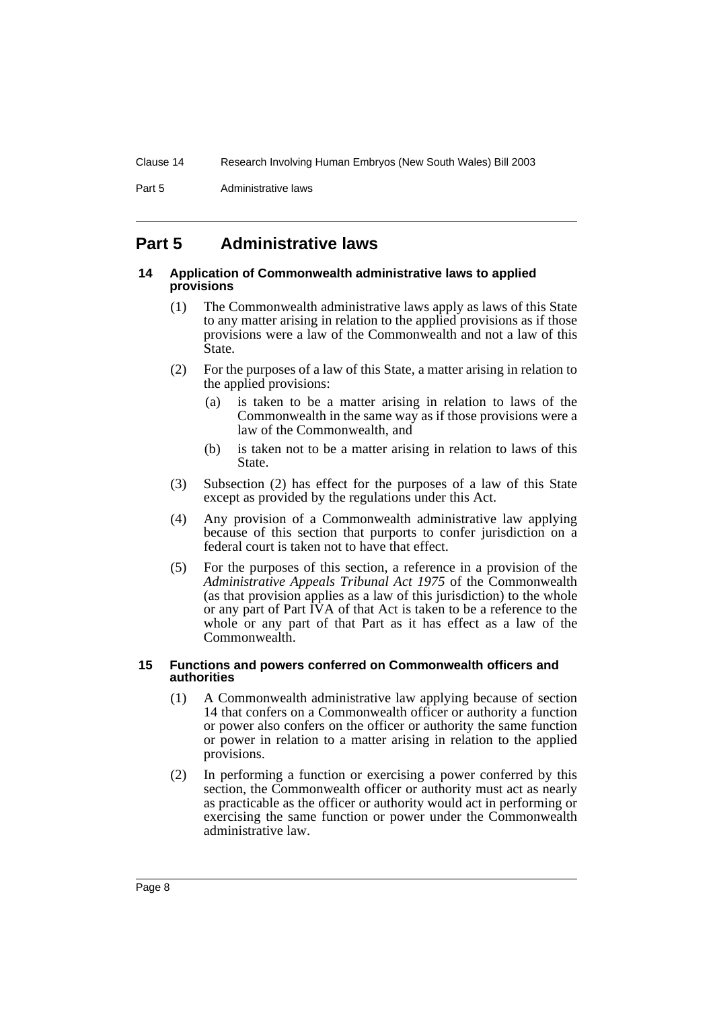Part 5 **Administrative laws** 

# <span id="page-9-0"></span>**Part 5 Administrative laws**

#### <span id="page-9-1"></span>**14 Application of Commonwealth administrative laws to applied provisions**

- (1) The Commonwealth administrative laws apply as laws of this State to any matter arising in relation to the applied provisions as if those provisions were a law of the Commonwealth and not a law of this State.
- (2) For the purposes of a law of this State, a matter arising in relation to the applied provisions:
	- (a) is taken to be a matter arising in relation to laws of the Commonwealth in the same way as if those provisions were a law of the Commonwealth, and
	- (b) is taken not to be a matter arising in relation to laws of this State.
- (3) Subsection (2) has effect for the purposes of a law of this State except as provided by the regulations under this Act.
- (4) Any provision of a Commonwealth administrative law applying because of this section that purports to confer jurisdiction on a federal court is taken not to have that effect.
- (5) For the purposes of this section, a reference in a provision of the *Administrative Appeals Tribunal Act 1975* of the Commonwealth (as that provision applies as a law of this jurisdiction) to the whole or any part of Part IVA of that Act is taken to be a reference to the whole or any part of that Part as it has effect as a law of the Commonwealth.

#### <span id="page-9-2"></span>**15 Functions and powers conferred on Commonwealth officers and authorities**

- (1) A Commonwealth administrative law applying because of section 14 that confers on a Commonwealth officer or authority a function or power also confers on the officer or authority the same function or power in relation to a matter arising in relation to the applied provisions.
- (2) In performing a function or exercising a power conferred by this section, the Commonwealth officer or authority must act as nearly as practicable as the officer or authority would act in performing or exercising the same function or power under the Commonwealth administrative law.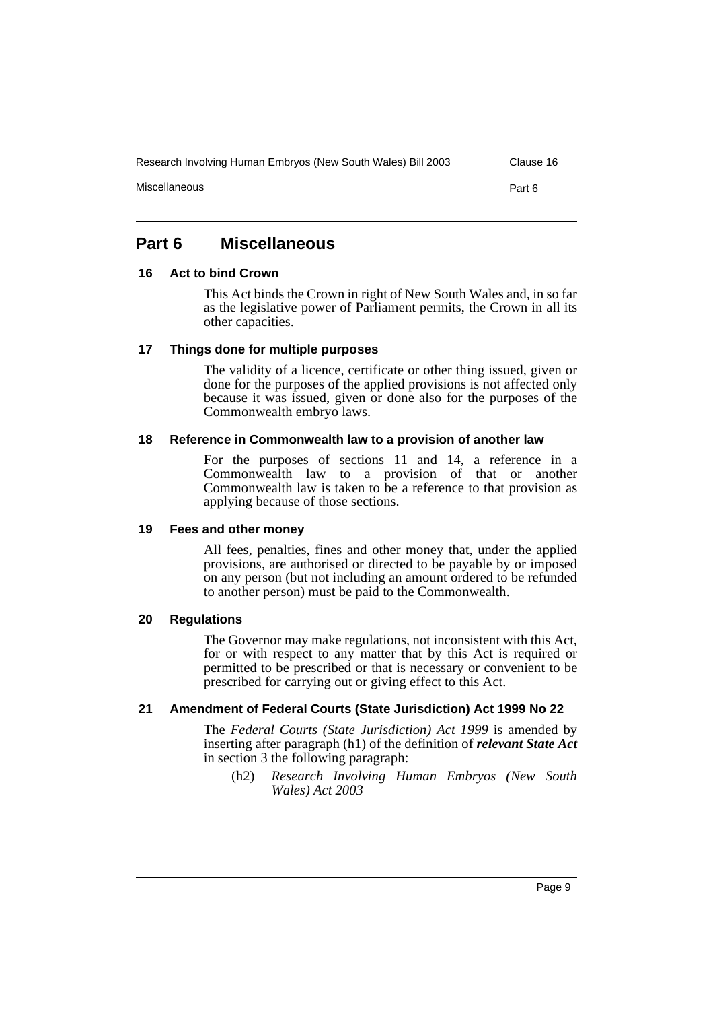Research Involving Human Embryos (New South Wales) Bill 2003 Clause 16

Miscellaneous Part 6

# <span id="page-10-0"></span>**Part 6 Miscellaneous**

#### <span id="page-10-1"></span>**16 Act to bind Crown**

This Act binds the Crown in right of New South Wales and, in so far as the legislative power of Parliament permits, the Crown in all its other capacities.

#### <span id="page-10-2"></span>**17 Things done for multiple purposes**

The validity of a licence, certificate or other thing issued, given or done for the purposes of the applied provisions is not affected only because it was issued, given or done also for the purposes of the Commonwealth embryo laws.

## <span id="page-10-3"></span>**18 Reference in Commonwealth law to a provision of another law**

For the purposes of sections 11 and 14, a reference in a Commonwealth law to a provision of that or another Commonwealth law is taken to be a reference to that provision as applying because of those sections.

#### <span id="page-10-4"></span>**19 Fees and other money**

All fees, penalties, fines and other money that, under the applied provisions, are authorised or directed to be payable by or imposed on any person (but not including an amount ordered to be refunded to another person) must be paid to the Commonwealth.

#### <span id="page-10-5"></span>**20 Regulations**

The Governor may make regulations, not inconsistent with this Act, for or with respect to any matter that by this Act is required or permitted to be prescribed or that is necessary or convenient to be prescribed for carrying out or giving effect to this Act.

## <span id="page-10-6"></span>**21 Amendment of Federal Courts (State Jurisdiction) Act 1999 No 22**

The *Federal Courts (State Jurisdiction) Act 1999* is amended by inserting after paragraph (h1) of the definition of *relevant State Act* in section 3 the following paragraph:

(h2) *Research Involving Human Embryos (New South Wales) Act 2003*